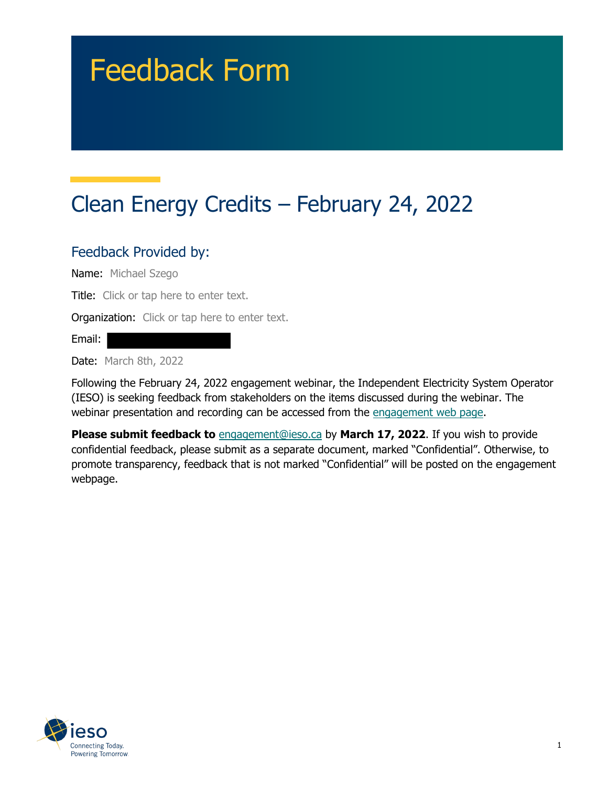# Feedback Form

## Clean Energy Credits – February 24, 2022

#### Feedback Provided by:

Name: Michael Szego

Title: Click or tap here to enter text.

**Organization:** Click or tap here to enter text.

Email:

Date: March 8th, 2022

Following the February 24, 2022 engagement webinar, the Independent Electricity System Operator (IESO) is seeking feedback from stakeholders on the items discussed during the webinar. The webinar presentation and recording can be accessed from the engagement web page.

**Please submit feedback to** engagement@ieso.ca by **March 17, 2022**. If you wish to provide confidential feedback, please submit as a separate document, marked "Confidential". Otherwise, to promote transparency, feedback that is not marked "Confidential" will be posted on the engagement webpage.

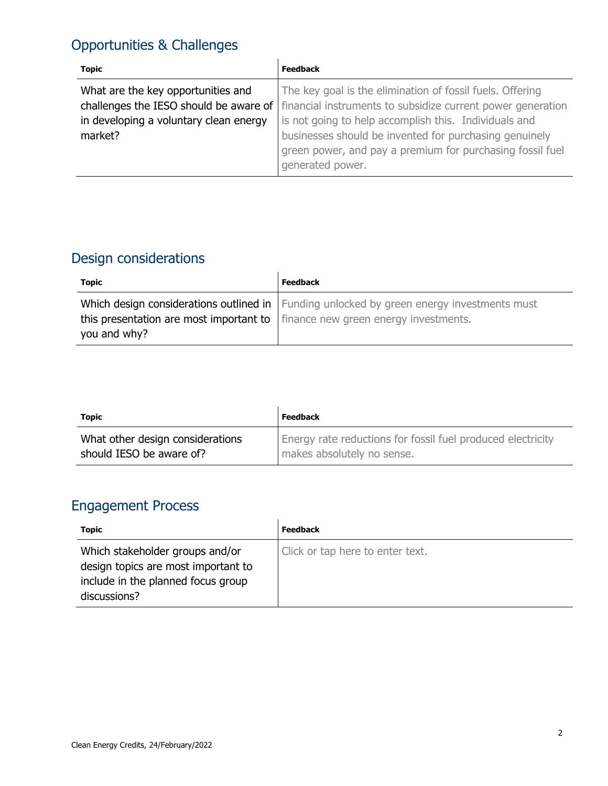### Opportunities & Challenges

| <b>Topic</b>                           | <b>Feedback</b>                                             |
|----------------------------------------|-------------------------------------------------------------|
| What are the key opportunities and     | The key goal is the elimination of fossil fuels. Offering   |
| challenges the IESO should be aware of | financial instruments to subsidize current power generation |
| in developing a voluntary clean energy | is not going to help accomplish this. Individuals and       |
| market?                                | businesses should be invented for purchasing genuinely      |
|                                        | green power, and pay a premium for purchasing fossil fuel   |
|                                        | generated power.                                            |

### Design considerations

| <b>Topic</b>                                                                                          | <b>Feedback</b>                                                                             |
|-------------------------------------------------------------------------------------------------------|---------------------------------------------------------------------------------------------|
| this presentation are most important to $\vert$ finance new green energy investments.<br>you and why? | Which design considerations outlined in   Funding unlocked by green energy investments must |

| <b>Topic</b>                     | Feedback                                                    |
|----------------------------------|-------------------------------------------------------------|
| What other design considerations | Energy rate reductions for fossil fuel produced electricity |
| should IESO be aware of?         | makes absolutely no sense.                                  |

#### Engagement Process

| <b>Topic</b>                        | Feedback                         |
|-------------------------------------|----------------------------------|
| Which stakeholder groups and/or     | Click or tap here to enter text. |
| design topics are most important to |                                  |
| include in the planned focus group  |                                  |
| discussions?                        |                                  |